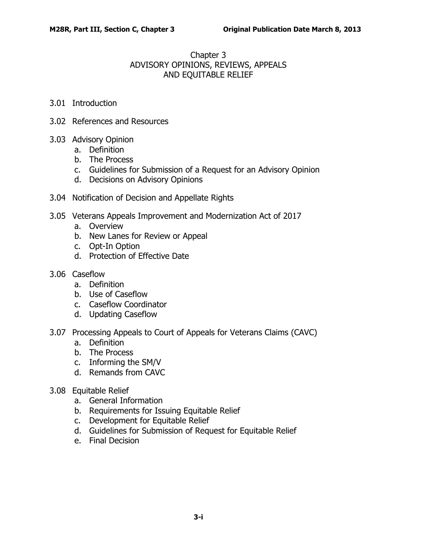## Chapter 3 ADVISORY OPINIONS, REVIEWS, APPEALS AND EQUITABLE RELIEF

- 3.01 [Introduction](#page-2-0)
- 3.02 [References and Resources](#page-2-1)
- 3.03 [Advisory Opinion](#page-3-0)
	- a. [Definition](#page-3-1)
	- b. [The Process](#page-3-2)
	- c. [Guidelines for Submission of a Request for an Advisory Opinion](#page-3-3)
	- d. [Decisions on Advisory Opinions](#page-4-0)
- 3.04 [Notification of Decision and Appellate Rights](#page-4-1)
- 3.05 [Veterans Appeals Improvement and Modernization Act of 2017](#page-5-0)
	- a. [Overview](#page-5-1)
	- b. [New Lanes for Review or Appeal](#page-5-2)
	- c. [Opt-In Option](#page-12-0)
	- d. [Protection of Effective Date](#page-13-0)
- 3.06 [Caseflow](#page-13-1)
	- a. [Definition](#page-13-2)
	- b. [Use of Caseflow](#page-13-3)
	- c. [Caseflow Coordinator](#page-14-0)
	- d. [Updating Caseflow](#page-14-1)
- 3.07 [Processing Appeals to Court of Appeals for Veterans Claims \(CAVC\)](#page-14-2)
	- a. [Definition](#page-14-3)
	- b. [The Process](#page-14-4)
	- c. [Informing the SM/V](#page-15-0)
	- d. [Remands from CAVC](#page-15-1)
- 3.08 [Equitable Relief](#page-15-2)
	- a. [General Information](#page-15-3)
	- b. [Requirements for Issuing Equitable Relief](#page-16-0)
	- c. [Development for Equitable Relief](#page-16-1)
	- d. [Guidelines for Submission of Request for Equitable Relief](#page-16-2)
	- e. [Final Decision](#page-17-0)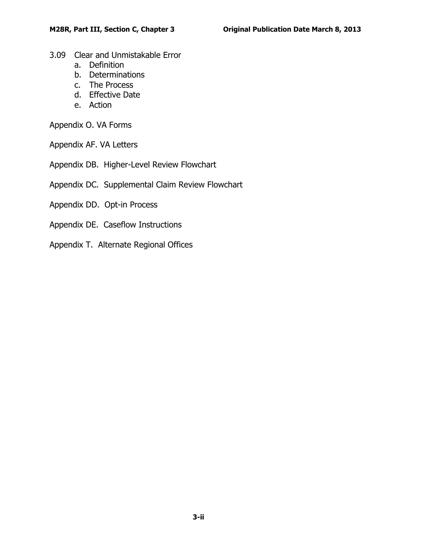- 3.09 [Clear and Unmistakable Error](#page-17-1)
	- a. [Definition](#page-17-2)
	- b. [Determinations](#page-17-3)
	- c. [The Process](#page-18-0)
	- d. [Effective Date](#page-18-1)
	- e. [Action](#page-18-2)

Appendix O. VA Forms

- Appendix AF. VA Letters
- Appendix DB. Higher-Level Review Flowchart
- Appendix DC. Supplemental Claim Review Flowchart
- Appendix DD. Opt-in Process
- Appendix DE. Caseflow Instructions
- Appendix T. Alternate Regional Offices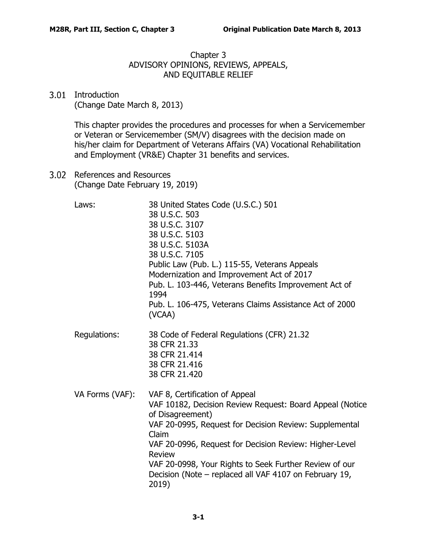Chapter 3 ADVISORY OPINIONS, REVIEWS, APPEALS, AND EQUITABLE RELIEF

<span id="page-2-0"></span>3.01 Introduction (Change Date March 8, 2013)

> This chapter provides the procedures and processes for when a Servicemember or Veteran or Servicemember (SM/V) disagrees with the decision made on his/her claim for Department of Veterans Affairs (VA) Vocational Rehabilitation and Employment (VR&E) Chapter 31 benefits and services.

<span id="page-2-1"></span>3.02 References and Resources (Change Date February 19, 2019)

| Laws:           | 38 United States Code (U.S.C.) 501<br>38 U.S.C. 503<br>38 U.S.C. 3107<br>38 U.S.C. 5103<br>38 U.S.C. 5103A<br>38 U.S.C. 7105<br>Public Law (Pub. L.) 115-55, Veterans Appeals<br>Modernization and Improvement Act of 2017<br>Pub. L. 103-446, Veterans Benefits Improvement Act of<br>1994<br>Pub. L. 106-475, Veterans Claims Assistance Act of 2000<br>(VCAA)                   |
|-----------------|------------------------------------------------------------------------------------------------------------------------------------------------------------------------------------------------------------------------------------------------------------------------------------------------------------------------------------------------------------------------------------|
| Regulations:    | 38 Code of Federal Regulations (CFR) 21.32<br>38 CFR 21.33<br>38 CFR 21.414<br>38 CFR 21.416<br>38 CFR 21.420                                                                                                                                                                                                                                                                      |
| VA Forms (VAF): | VAF 8, Certification of Appeal<br>VAF 10182, Decision Review Request: Board Appeal (Notice<br>of Disagreement)<br>VAF 20-0995, Request for Decision Review: Supplemental<br>Claim<br>VAF 20-0996, Request for Decision Review: Higher-Level<br>Review<br>VAF 20-0998, Your Rights to Seek Further Review of our<br>Decision (Note – replaced all VAF 4107 on February 19,<br>2019) |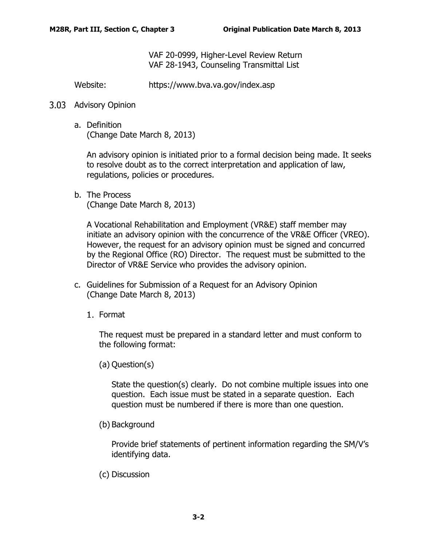VAF 20-0999, Higher-Level Review Return VAF 28-1943, Counseling Transmittal List

Website: https://www.bva.va.gov/index.asp

## <span id="page-3-1"></span><span id="page-3-0"></span>3.03 Advisory Opinion

a. Definition (Change Date March 8, 2013)

An advisory opinion is initiated prior to a formal decision being made. It seeks to resolve doubt as to the correct interpretation and application of law, regulations, policies or procedures.

<span id="page-3-2"></span>b. The Process (Change Date March 8, 2013)

A Vocational Rehabilitation and Employment (VR&E) staff member may initiate an advisory opinion with the concurrence of the VR&E Officer (VREO). However, the request for an advisory opinion must be signed and concurred by the Regional Office (RO) Director. The request must be submitted to the Director of VR&E Service who provides the advisory opinion.

- <span id="page-3-3"></span>c. Guidelines for Submission of a Request for an Advisory Opinion (Change Date March 8, 2013)
	- 1. Format

The request must be prepared in a standard letter and must conform to the following format:

(a) Question(s)

State the question(s) clearly. Do not combine multiple issues into one question. Each issue must be stated in a separate question. Each question must be numbered if there is more than one question.

(b) Background

Provide brief statements of pertinent information regarding the SM/V's identifying data.

(c) Discussion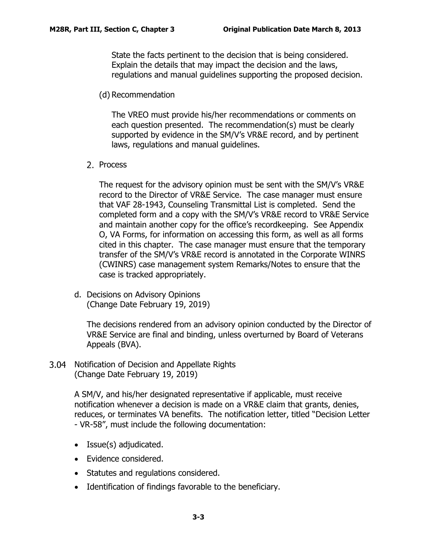State the facts pertinent to the decision that is being considered. Explain the details that may impact the decision and the laws, regulations and manual guidelines supporting the proposed decision.

(d) Recommendation

The VREO must provide his/her recommendations or comments on each question presented. The recommendation(s) must be clearly supported by evidence in the SM/V's VR&E record, and by pertinent laws, regulations and manual guidelines.

2. Process

The request for the advisory opinion must be sent with the SM/V's VR&E record to the Director of VR&E Service. The case manager must ensure that VAF 28-1943, Counseling Transmittal List is completed. Send the completed form and a copy with the SM/V's VR&E record to VR&E Service and maintain another copy for the office's recordkeeping. See Appendix O, VA Forms, for information on accessing this form, as well as all forms cited in this chapter. The case manager must ensure that the temporary transfer of the SM/V's VR&E record is annotated in the Corporate WINRS (CWINRS) case management system Remarks/Notes to ensure that the case is tracked appropriately.

<span id="page-4-0"></span>d. Decisions on Advisory Opinions (Change Date February 19, 2019)

The decisions rendered from an advisory opinion conducted by the Director of VR&E Service are final and binding, unless overturned by Board of Veterans Appeals (BVA).

<span id="page-4-1"></span>3.04 Notification of Decision and Appellate Rights (Change Date February 19, 2019)

> A SM/V, and his/her designated representative if applicable, must receive notification whenever a decision is made on a VR&E claim that grants, denies, reduces, or terminates VA benefits. The notification letter, titled "Decision Letter - VR-58", must include the following documentation:

- Issue(s) adjudicated.
- Evidence considered.
- Statutes and regulations considered.
- Identification of findings favorable to the beneficiary.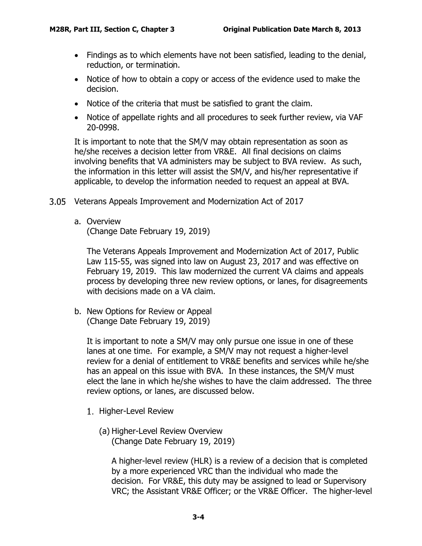- Findings as to which elements have not been satisfied, leading to the denial, reduction, or termination.
- Notice of how to obtain a copy or access of the evidence used to make the decision.
- Notice of the criteria that must be satisfied to grant the claim.
- Notice of appellate rights and all procedures to seek further review, via VAF 20-0998.

It is important to note that the SM/V may obtain representation as soon as he/she receives a decision letter from VR&E. All final decisions on claims involving benefits that VA administers may be subject to BVA review. As such, the information in this letter will assist the SM/V, and his/her representative if applicable, to develop the information needed to request an appeal at BVA.

- <span id="page-5-1"></span><span id="page-5-0"></span>Veterans Appeals Improvement and Modernization Act of 2017
	- a. Overview

(Change Date February 19, 2019)

The Veterans Appeals Improvement and Modernization Act of 2017, Public Law 115-55, was signed into law on August 23, 2017 and was effective on February 19, 2019. This law modernized the current VA claims and appeals process by developing three new review options, or lanes, for disagreements with decisions made on a VA claim.

<span id="page-5-2"></span>b. New Options for Review or Appeal (Change Date February 19, 2019)

It is important to note a SM/V may only pursue one issue in one of these lanes at one time. For example, a SM/V may not request a higher-level review for a denial of entitlement to VR&E benefits and services while he/she has an appeal on this issue with BVA. In these instances, the SM/V must elect the lane in which he/she wishes to have the claim addressed. The three review options, or lanes, are discussed below.

- 1. Higher-Level Review
	- (a) Higher-Level Review Overview (Change Date February 19, 2019)

A higher-level review (HLR) is a review of a decision that is completed by a more experienced VRC than the individual who made the decision. For VR&E, this duty may be assigned to lead or Supervisory VRC; the Assistant VR&E Officer; or the VR&E Officer. The higher-level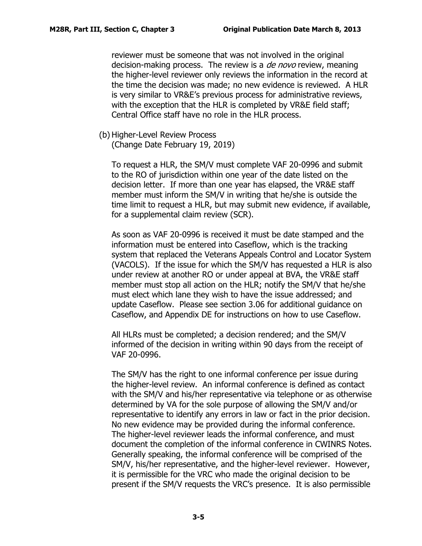reviewer must be someone that was not involved in the original decision-making process. The review is a *de novo* review, meaning the higher-level reviewer only reviews the information in the record at the time the decision was made; no new evidence is reviewed. A HLR is very similar to VR&E's previous process for administrative reviews, with the exception that the HLR is completed by VR&E field staff; Central Office staff have no role in the HLR process.

(b) Higher-Level Review Process

(Change Date February 19, 2019)

To request a HLR, the SM/V must complete VAF 20-0996 and submit to the RO of jurisdiction within one year of the date listed on the decision letter. If more than one year has elapsed, the VR&E staff member must inform the SM/V in writing that he/she is outside the time limit to request a HLR, but may submit new evidence, if available, for a supplemental claim review (SCR).

As soon as VAF 20-0996 is received it must be date stamped and the information must be entered into Caseflow, which is the tracking system that replaced the Veterans Appeals Control and Locator System (VACOLS). If the issue for which the SM/V has requested a HLR is also under review at another RO or under appeal at BVA, the VR&E staff member must stop all action on the HLR; notify the SM/V that he/she must elect which lane they wish to have the issue addressed; and update Caseflow. Please see section 3.06 for additional guidance on Caseflow, and Appendix DE for instructions on how to use Caseflow.

All HLRs must be completed; a decision rendered; and the SM/V informed of the decision in writing within 90 days from the receipt of VAF 20-0996.

The SM/V has the right to one informal conference per issue during the higher-level review. An informal conference is defined as contact with the SM/V and his/her representative via telephone or as otherwise determined by VA for the sole purpose of allowing the SM/V and/or representative to identify any errors in law or fact in the prior decision. No new evidence may be provided during the informal conference. The higher-level reviewer leads the informal conference, and must document the completion of the informal conference in CWINRS Notes. Generally speaking, the informal conference will be comprised of the SM/V, his/her representative, and the higher-level reviewer. However, it is permissible for the VRC who made the original decision to be present if the SM/V requests the VRC's presence. It is also permissible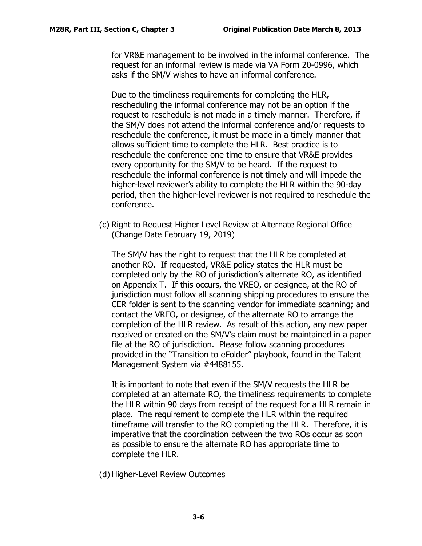for VR&E management to be involved in the informal conference. The request for an informal review is made via VA Form 20-0996, which asks if the SM/V wishes to have an informal conference.

Due to the timeliness requirements for completing the HLR, rescheduling the informal conference may not be an option if the request to reschedule is not made in a timely manner. Therefore, if the SM/V does not attend the informal conference and/or requests to reschedule the conference, it must be made in a timely manner that allows sufficient time to complete the HLR. Best practice is to reschedule the conference one time to ensure that VR&E provides every opportunity for the SM/V to be heard. If the request to reschedule the informal conference is not timely and will impede the higher-level reviewer's ability to complete the HLR within the 90-day period, then the higher-level reviewer is not required to reschedule the conference.

(c) Right to Request Higher Level Review at Alternate Regional Office (Change Date February 19, 2019)

The SM/V has the right to request that the HLR be completed at another RO. If requested, VR&E policy states the HLR must be completed only by the RO of jurisdiction's alternate RO, as identified on Appendix T. If this occurs, the VREO, or designee, at the RO of jurisdiction must follow all scanning shipping procedures to ensure the CER folder is sent to the scanning vendor for immediate scanning; and contact the VREO, or designee, of the alternate RO to arrange the completion of the HLR review. As result of this action, any new paper received or created on the SM/V's claim must be maintained in a paper file at the RO of jurisdiction. Please follow scanning procedures provided in the "Transition to eFolder" playbook, found in the Talent Management System via #4488155.

It is important to note that even if the SM/V requests the HLR be completed at an alternate RO, the timeliness requirements to complete the HLR within 90 days from receipt of the request for a HLR remain in place. The requirement to complete the HLR within the required timeframe will transfer to the RO completing the HLR. Therefore, it is imperative that the coordination between the two ROs occur as soon as possible to ensure the alternate RO has appropriate time to complete the HLR.

(d) Higher-Level Review Outcomes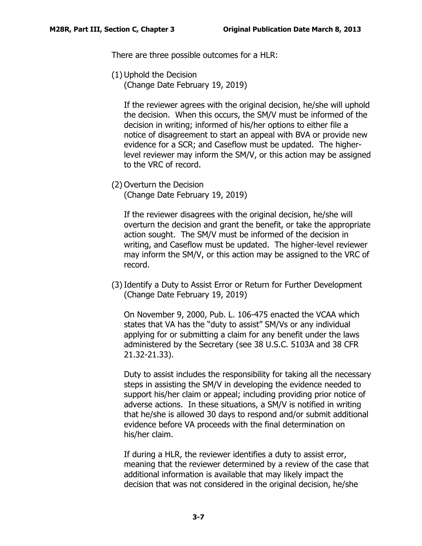There are three possible outcomes for a HLR:

(1) Uphold the Decision

(Change Date February 19, 2019)

If the reviewer agrees with the original decision, he/she will uphold the decision. When this occurs, the SM/V must be informed of the decision in writing; informed of his/her options to either file a notice of disagreement to start an appeal with BVA or provide new evidence for a SCR; and Caseflow must be updated. The higherlevel reviewer may inform the SM/V, or this action may be assigned to the VRC of record.

(2) Overturn the Decision (Change Date February 19, 2019)

If the reviewer disagrees with the original decision, he/she will overturn the decision and grant the benefit, or take the appropriate action sought. The SM/V must be informed of the decision in writing, and Caseflow must be updated. The higher-level reviewer may inform the SM/V, or this action may be assigned to the VRC of record.

(3)Identify a Duty to Assist Error or Return for Further Development (Change Date February 19, 2019)

On November 9, 2000, Pub. L. 106-475 enacted the VCAA which states that VA has the "duty to assist" SM/Vs or any individual applying for or submitting a claim for any benefit under the laws administered by the Secretary (see 38 U.S.C. 5103A and 38 CFR 21.32-21.33).

Duty to assist includes the responsibility for taking all the necessary steps in assisting the SM/V in developing the evidence needed to support his/her claim or appeal; including providing prior notice of adverse actions. In these situations, a SM/V is notified in writing that he/she is allowed 30 days to respond and/or submit additional evidence before VA proceeds with the final determination on his/her claim.

If during a HLR, the reviewer identifies a duty to assist error, meaning that the reviewer determined by a review of the case that additional information is available that may likely impact the decision that was not considered in the original decision, he/she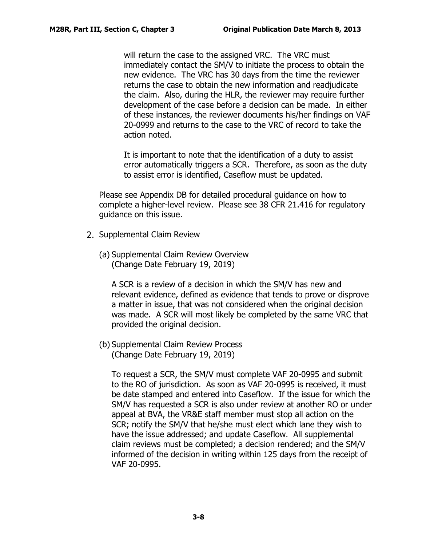will return the case to the assigned VRC. The VRC must immediately contact the SM/V to initiate the process to obtain the new evidence. The VRC has 30 days from the time the reviewer returns the case to obtain the new information and readjudicate the claim. Also, during the HLR, the reviewer may require further development of the case before a decision can be made. In either of these instances, the reviewer documents his/her findings on VAF 20-0999 and returns to the case to the VRC of record to take the action noted.

It is important to note that the identification of a duty to assist error automatically triggers a SCR. Therefore, as soon as the duty to assist error is identified, Caseflow must be updated.

Please see Appendix DB for detailed procedural guidance on how to complete a higher-level review. Please see 38 CFR 21.416 for regulatory guidance on this issue.

- 2. Supplemental Claim Review
	- (a) Supplemental Claim Review Overview (Change Date February 19, 2019)

A SCR is a review of a decision in which the SM/V has new and relevant evidence, defined as evidence that tends to prove or disprove a matter in issue, that was not considered when the original decision was made. A SCR will most likely be completed by the same VRC that provided the original decision.

(b) Supplemental Claim Review Process (Change Date February 19, 2019)

To request a SCR, the SM/V must complete VAF 20-0995 and submit to the RO of jurisdiction. As soon as VAF 20-0995 is received, it must be date stamped and entered into Caseflow. If the issue for which the SM/V has requested a SCR is also under review at another RO or under appeal at BVA, the VR&E staff member must stop all action on the SCR; notify the SM/V that he/she must elect which lane they wish to have the issue addressed; and update Caseflow. All supplemental claim reviews must be completed; a decision rendered; and the SM/V informed of the decision in writing within 125 days from the receipt of VAF 20-0995.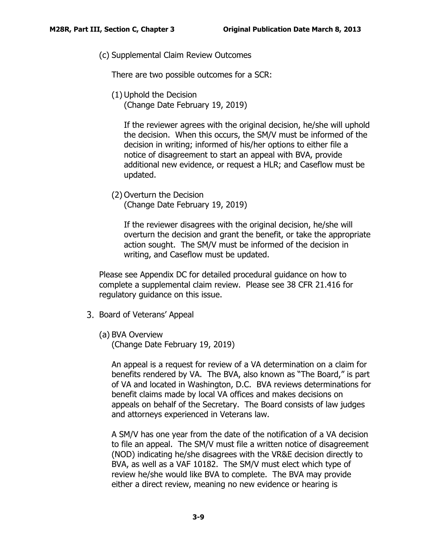(c) Supplemental Claim Review Outcomes

There are two possible outcomes for a SCR:

(1) Uphold the Decision (Change Date February 19, 2019)

If the reviewer agrees with the original decision, he/she will uphold the decision. When this occurs, the SM/V must be informed of the decision in writing; informed of his/her options to either file a notice of disagreement to start an appeal with BVA, provide additional new evidence, or request a HLR; and Caseflow must be updated.

(2) Overturn the Decision (Change Date February 19, 2019)

If the reviewer disagrees with the original decision, he/she will overturn the decision and grant the benefit, or take the appropriate action sought. The SM/V must be informed of the decision in writing, and Caseflow must be updated.

Please see Appendix DC for detailed procedural guidance on how to complete a supplemental claim review. Please see 38 CFR 21.416 for regulatory guidance on this issue.

- 3. Board of Veterans' Appeal
	- (a) BVA Overview

(Change Date February 19, 2019)

An appeal is a request for review of a VA determination on a claim for benefits rendered by VA. The BVA, also known as "The Board," is part of VA and located in Washington, D.C. BVA reviews determinations for benefit claims made by local VA offices and makes decisions on appeals on behalf of the Secretary. The Board consists of law judges and attorneys experienced in Veterans law.

A SM/V has one year from the date of the notification of a VA decision to file an appeal. The SM/V must file a written notice of disagreement (NOD) indicating he/she disagrees with the VR&E decision directly to BVA, as well as a VAF 10182. The SM/V must elect which type of review he/she would like BVA to complete. The BVA may provide either a direct review, meaning no new evidence or hearing is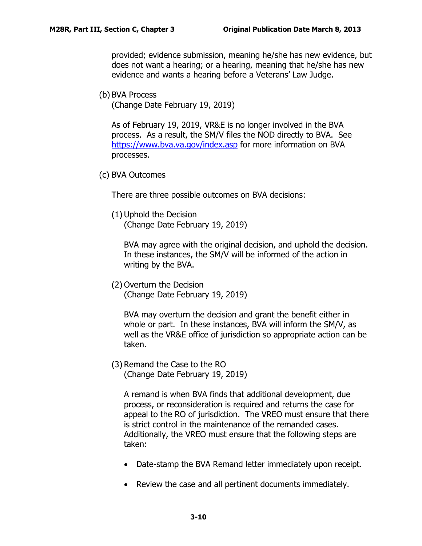provided; evidence submission, meaning he/she has new evidence, but does not want a hearing; or a hearing, meaning that he/she has new evidence and wants a hearing before a Veterans' Law Judge.

(b) BVA Process

(Change Date February 19, 2019)

As of February 19, 2019, VR&E is no longer involved in the BVA process. As a result, the SM/V files the NOD directly to BVA. See <https://www.bva.va.gov/index.asp> for more information on BVA processes.

(c) BVA Outcomes

There are three possible outcomes on BVA decisions:

(1) Uphold the Decision (Change Date February 19, 2019)

BVA may agree with the original decision, and uphold the decision. In these instances, the SM/V will be informed of the action in writing by the BVA.

(2) Overturn the Decision (Change Date February 19, 2019)

BVA may overturn the decision and grant the benefit either in whole or part. In these instances, BVA will inform the SM/V, as well as the VR&E office of jurisdiction so appropriate action can be taken.

(3) Remand the Case to the RO (Change Date February 19, 2019)

A remand is when BVA finds that additional development, due process, or reconsideration is required and returns the case for appeal to the RO of jurisdiction. The VREO must ensure that there is strict control in the maintenance of the remanded cases. Additionally, the VREO must ensure that the following steps are taken:

- Date-stamp the BVA Remand letter immediately upon receipt.
- Review the case and all pertinent documents immediately.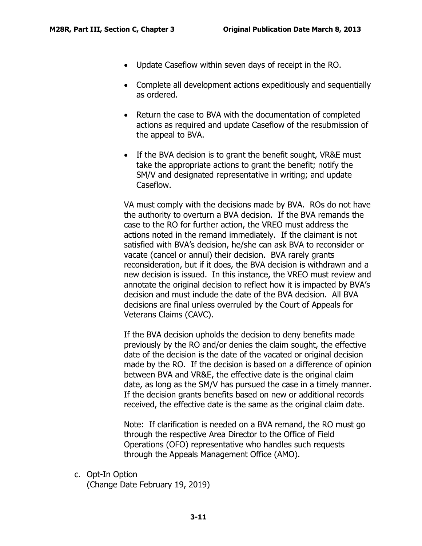- Update Caseflow within seven days of receipt in the RO.
- Complete all development actions expeditiously and sequentially as ordered.
- Return the case to BVA with the documentation of completed actions as required and update Caseflow of the resubmission of the appeal to BVA.
- If the BVA decision is to grant the benefit sought, VR&E must take the appropriate actions to grant the benefit; notify the SM/V and designated representative in writing; and update Caseflow.

VA must comply with the decisions made by BVA. ROs do not have the authority to overturn a BVA decision. If the BVA remands the case to the RO for further action, the VREO must address the actions noted in the remand immediately. If the claimant is not satisfied with BVA's decision, he/she can ask BVA to reconsider or vacate (cancel or annul) their decision. BVA rarely grants reconsideration, but if it does, the BVA decision is withdrawn and a new decision is issued. In this instance, the VREO must review and annotate the original decision to reflect how it is impacted by BVA's decision and must include the date of the BVA decision. All BVA decisions are final unless overruled by the Court of Appeals for Veterans Claims (CAVC).

If the BVA decision upholds the decision to deny benefits made previously by the RO and/or denies the claim sought, the effective date of the decision is the date of the vacated or original decision made by the RO. If the decision is based on a difference of opinion between BVA and VR&E, the effective date is the original claim date, as long as the SM/V has pursued the case in a timely manner. If the decision grants benefits based on new or additional records received, the effective date is the same as the original claim date.

Note: If clarification is needed on a BVA remand, the RO must go through the respective Area Director to the Office of Field Operations (OFO) representative who handles such requests through the Appeals Management Office (AMO).

<span id="page-12-0"></span>c. Opt-In Option

(Change Date February 19, 2019)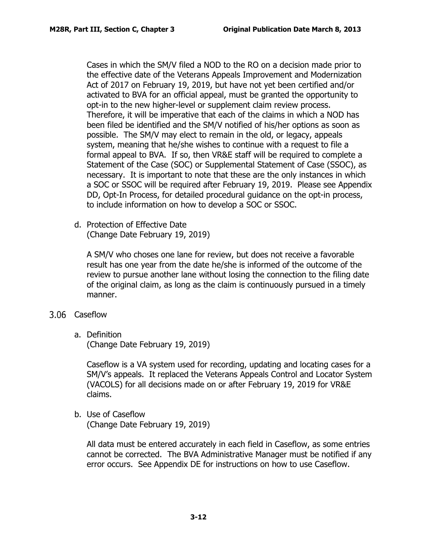Cases in which the SM/V filed a NOD to the RO on a decision made prior to the effective date of the Veterans Appeals Improvement and Modernization Act of 2017 on February 19, 2019, but have not yet been certified and/or activated to BVA for an official appeal, must be granted the opportunity to opt-in to the new higher-level or supplement claim review process. Therefore, it will be imperative that each of the claims in which a NOD has been filed be identified and the SM/V notified of his/her options as soon as possible. The SM/V may elect to remain in the old, or legacy, appeals system, meaning that he/she wishes to continue with a request to file a formal appeal to BVA. If so, then VR&E staff will be required to complete a Statement of the Case (SOC) or Supplemental Statement of Case (SSOC), as necessary. It is important to note that these are the only instances in which a SOC or SSOC will be required after February 19, 2019. Please see Appendix DD, Opt-In Process, for detailed procedural guidance on the opt-in process, to include information on how to develop a SOC or SSOC.

<span id="page-13-0"></span>d. Protection of Effective Date (Change Date February 19, 2019)

A SM/V who choses one lane for review, but does not receive a favorable result has one year from the date he/she is informed of the outcome of the review to pursue another lane without losing the connection to the filing date of the original claim, as long as the claim is continuously pursued in a timely manner.

- <span id="page-13-2"></span><span id="page-13-1"></span>3.06 Caseflow
	- a. Definition

(Change Date February 19, 2019)

Caseflow is a VA system used for recording, updating and locating cases for a SM/V's appeals. It replaced the Veterans Appeals Control and Locator System (VACOLS) for all decisions made on or after February 19, 2019 for VR&E claims.

<span id="page-13-3"></span>b. Use of Caseflow

(Change Date February 19, 2019)

All data must be entered accurately in each field in Caseflow, as some entries cannot be corrected. The BVA Administrative Manager must be notified if any error occurs. See Appendix DE for instructions on how to use Caseflow.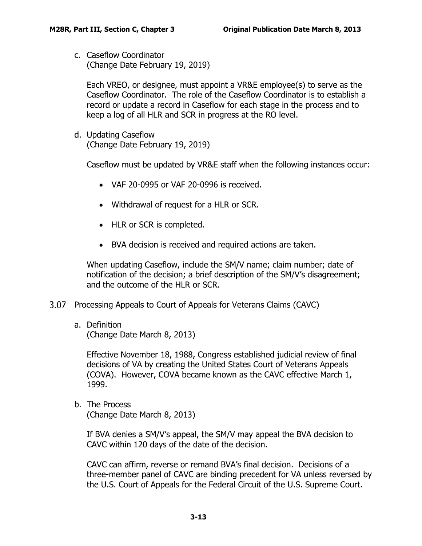<span id="page-14-0"></span>c. Caseflow Coordinator (Change Date February 19, 2019)

Each VREO, or designee, must appoint a VR&E employee(s) to serve as the Caseflow Coordinator. The role of the Caseflow Coordinator is to establish a record or update a record in Caseflow for each stage in the process and to keep a log of all HLR and SCR in progress at the RO level.

<span id="page-14-1"></span>d. Updating Caseflow (Change Date February 19, 2019)

Caseflow must be updated by VR&E staff when the following instances occur:

- VAF 20-0995 or VAF 20-0996 is received.
- Withdrawal of request for a HLR or SCR.
- HLR or SCR is completed.
- BVA decision is received and required actions are taken.

When updating Caseflow, include the SM/V name; claim number; date of notification of the decision; a brief description of the SM/V's disagreement; and the outcome of the HLR or SCR.

- <span id="page-14-3"></span><span id="page-14-2"></span>3.07 Processing Appeals to Court of Appeals for Veterans Claims (CAVC)
	- a. Definition

(Change Date March 8, 2013)

Effective November 18, 1988, Congress established judicial review of final decisions of VA by creating the United States Court of Veterans Appeals (COVA). However, COVA became known as the CAVC effective March 1, 1999.

<span id="page-14-4"></span>b. The Process

(Change Date March 8, 2013)

If BVA denies a SM/V's appeal, the SM/V may appeal the BVA decision to CAVC within 120 days of the date of the decision.

CAVC can affirm, reverse or remand BVA's final decision. Decisions of a three-member panel of CAVC are binding precedent for VA unless reversed by the U.S. Court of Appeals for the Federal Circuit of the U.S. Supreme Court.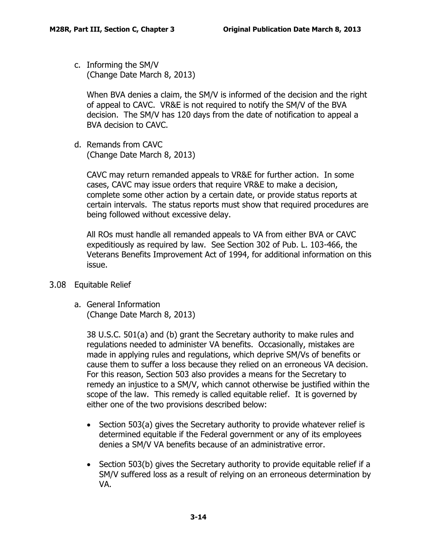<span id="page-15-0"></span>c. Informing the SM/V (Change Date March 8, 2013)

When BVA denies a claim, the SM/V is informed of the decision and the right of appeal to CAVC. VR&E is not required to notify the SM/V of the BVA decision. The SM/V has 120 days from the date of notification to appeal a BVA decision to CAVC.

<span id="page-15-1"></span>d. Remands from CAVC (Change Date March 8, 2013)

> CAVC may return remanded appeals to VR&E for further action. In some cases, CAVC may issue orders that require VR&E to make a decision, complete some other action by a certain date, or provide status reports at certain intervals. The status reports must show that required procedures are being followed without excessive delay.

> All ROs must handle all remanded appeals to VA from either BVA or CAVC expeditiously as required by law. See Section 302 of Pub. L. 103-466, the Veterans Benefits Improvement Act of 1994, for additional information on this issue.

- <span id="page-15-3"></span><span id="page-15-2"></span>Equitable Relief
	- a. General Information (Change Date March 8, 2013)

38 U.S.C. 501(a) and (b) grant the Secretary authority to make rules and regulations needed to administer VA benefits. Occasionally, mistakes are made in applying rules and regulations, which deprive SM/Vs of benefits or cause them to suffer a loss because they relied on an erroneous VA decision. For this reason, Section 503 also provides a means for the Secretary to remedy an injustice to a SM/V, which cannot otherwise be justified within the scope of the law. This remedy is called equitable relief. It is governed by either one of the two provisions described below:

- Section 503(a) gives the Secretary authority to provide whatever relief is determined equitable if the Federal government or any of its employees denies a SM/V VA benefits because of an administrative error.
- Section 503(b) gives the Secretary authority to provide equitable relief if a SM/V suffered loss as a result of relying on an erroneous determination by VA.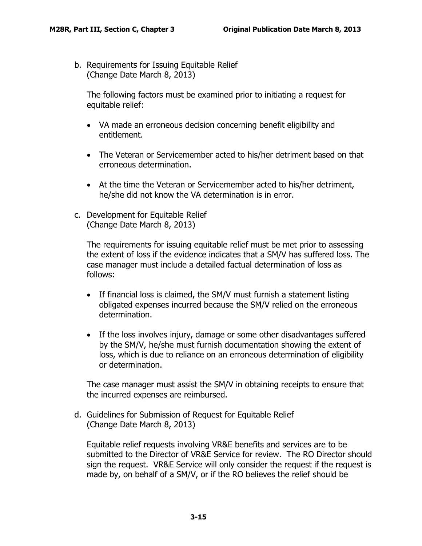<span id="page-16-0"></span>b. Requirements for Issuing Equitable Relief (Change Date March 8, 2013)

The following factors must be examined prior to initiating a request for equitable relief:

- VA made an erroneous decision concerning benefit eligibility and entitlement.
- The Veteran or Servicemember acted to his/her detriment based on that erroneous determination.
- At the time the Veteran or Servicemember acted to his/her detriment, he/she did not know the VA determination is in error.
- <span id="page-16-1"></span>c. Development for Equitable Relief (Change Date March 8, 2013)

The requirements for issuing equitable relief must be met prior to assessing the extent of loss if the evidence indicates that a SM/V has suffered loss. The case manager must include a detailed factual determination of loss as follows:

- If financial loss is claimed, the SM/V must furnish a statement listing obligated expenses incurred because the SM/V relied on the erroneous determination.
- If the loss involves injury, damage or some other disadvantages suffered by the SM/V, he/she must furnish documentation showing the extent of loss, which is due to reliance on an erroneous determination of eligibility or determination.

The case manager must assist the SM/V in obtaining receipts to ensure that the incurred expenses are reimbursed.

<span id="page-16-2"></span>d. Guidelines for Submission of Request for Equitable Relief (Change Date March 8, 2013)

Equitable relief requests involving VR&E benefits and services are to be submitted to the Director of VR&E Service for review. The RO Director should sign the request. VR&E Service will only consider the request if the request is made by, on behalf of a SM/V, or if the RO believes the relief should be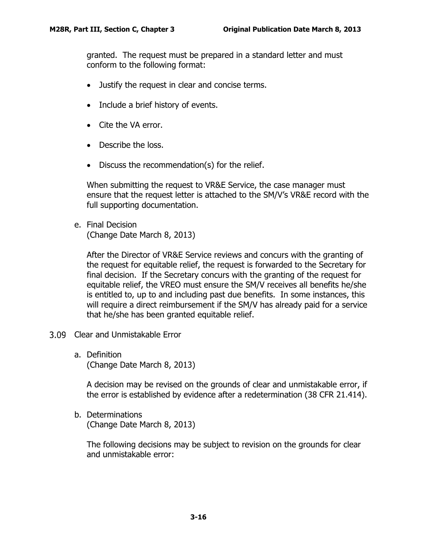granted. The request must be prepared in a standard letter and must conform to the following format:

- Justify the request in clear and concise terms.
- Include a brief history of events.
- Cite the VA error.
- Describe the loss.
- Discuss the recommendation(s) for the relief.

When submitting the request to VR&E Service, the case manager must ensure that the request letter is attached to the SM/V's VR&E record with the full supporting documentation.

<span id="page-17-0"></span>e. Final Decision (Change Date March 8, 2013)

After the Director of VR&E Service reviews and concurs with the granting of the request for equitable relief, the request is forwarded to the Secretary for final decision. If the Secretary concurs with the granting of the request for equitable relief, the VREO must ensure the SM/V receives all benefits he/she is entitled to, up to and including past due benefits. In some instances, this will require a direct reimbursement if the SM/V has already paid for a service that he/she has been granted equitable relief.

- <span id="page-17-2"></span><span id="page-17-1"></span>3.09 Clear and Unmistakable Error
	- a. Definition (Change Date March 8, 2013)

A decision may be revised on the grounds of clear and unmistakable error, if the error is established by evidence after a redetermination (38 CFR 21.414).

<span id="page-17-3"></span>b. Determinations (Change Date March 8, 2013)

The following decisions may be subject to revision on the grounds for clear and unmistakable error: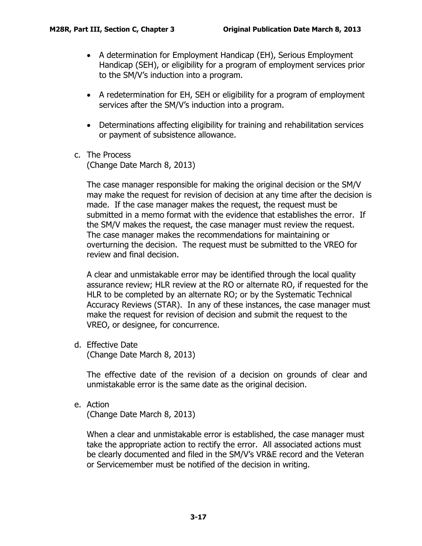- A determination for Employment Handicap (EH), Serious Employment Handicap (SEH), or eligibility for a program of employment services prior to the SM/V's induction into a program.
- A redetermination for EH, SEH or eligibility for a program of employment services after the SM/V's induction into a program.
- Determinations affecting eligibility for training and rehabilitation services or payment of subsistence allowance.
- <span id="page-18-0"></span>c. The Process (Change Date March 8, 2013)

The case manager responsible for making the original decision or the SM/V may make the request for revision of decision at any time after the decision is made. If the case manager makes the request, the request must be submitted in a memo format with the evidence that establishes the error. If the SM/V makes the request, the case manager must review the request. The case manager makes the recommendations for maintaining or overturning the decision. The request must be submitted to the VREO for review and final decision.

A clear and unmistakable error may be identified through the local quality assurance review; HLR review at the RO or alternate RO, if requested for the HLR to be completed by an alternate RO; or by the Systematic Technical Accuracy Reviews (STAR). In any of these instances, the case manager must make the request for revision of decision and submit the request to the VREO, or designee, for concurrence.

<span id="page-18-1"></span>d. Effective Date

(Change Date March 8, 2013)

The effective date of the revision of a decision on grounds of clear and unmistakable error is the same date as the original decision.

<span id="page-18-2"></span>e. Action

(Change Date March 8, 2013)

When a clear and unmistakable error is established, the case manager must take the appropriate action to rectify the error. All associated actions must be clearly documented and filed in the SM/V's VR&E record and the Veteran or Servicemember must be notified of the decision in writing.